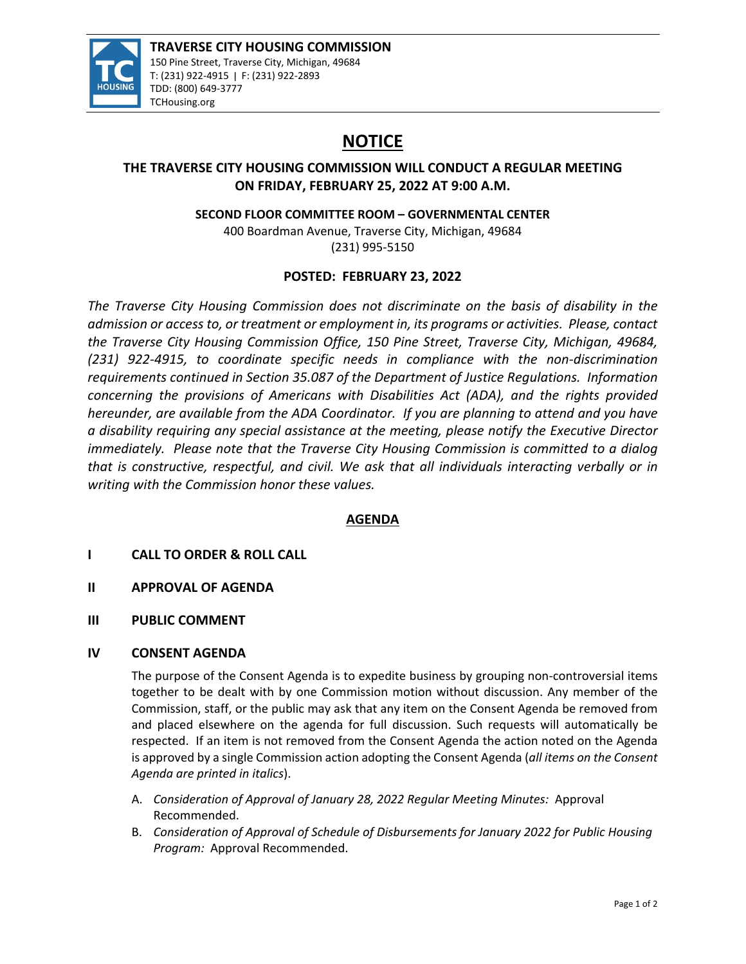

# **NOTICE**

# **THE TRAVERSE CITY HOUSING COMMISSION WILL CONDUCT A REGULAR MEETING ON FRIDAY, FEBRUARY 25, 2022 AT 9:00 A.M.**

**SECOND FLOOR COMMITTEE ROOM – GOVERNMENTAL CENTER**

400 Boardman Avenue, Traverse City, Michigan, 49684 (231) 995‐5150

# **POSTED: FEBRUARY 23, 2022**

*The Traverse City Housing Commission does not discriminate on the basis of disability in the admission or access to, or treatment or employment in, its programs or activities. Please, contact the Traverse City Housing Commission Office, 150 Pine Street, Traverse City, Michigan, 49684, (231) 922‐4915, to coordinate specific needs in compliance with the non‐discrimination requirements continued in Section 35.087 of the Department of Justice Regulations. Information concerning the provisions of Americans with Disabilities Act (ADA), and the rights provided hereunder, are available from the ADA Coordinator. If you are planning to attend and you have a disability requiring any special assistance at the meeting, please notify the Executive Director immediately. Please note that the Traverse City Housing Commission is committed to a dialog that is constructive, respectful, and civil. We ask that all individuals interacting verbally or in writing with the Commission honor these values.*

# **AGENDA**

# **I CALL TO ORDER & ROLL CALL**

- **II APPROVAL OF AGENDA**
- **III PUBLIC COMMENT**

### **IV CONSENT AGENDA**

The purpose of the Consent Agenda is to expedite business by grouping non-controversial items together to be dealt with by one Commission motion without discussion. Any member of the Commission, staff, or the public may ask that any item on the Consent Agenda be removed from and placed elsewhere on the agenda for full discussion. Such requests will automatically be respected. If an item is not removed from the Consent Agenda the action noted on the Agenda is approved by a single Commission action adopting the Consent Agenda (*all items on the Consent Agenda are printed in italics*).

- A. *Consideration of Approval of January 28, 2022 Regular Meeting Minutes:* Approval Recommended.
- B. *Consideration of Approval of Schedule of Disbursements for January 2022 for Public Housing Program:* Approval Recommended.